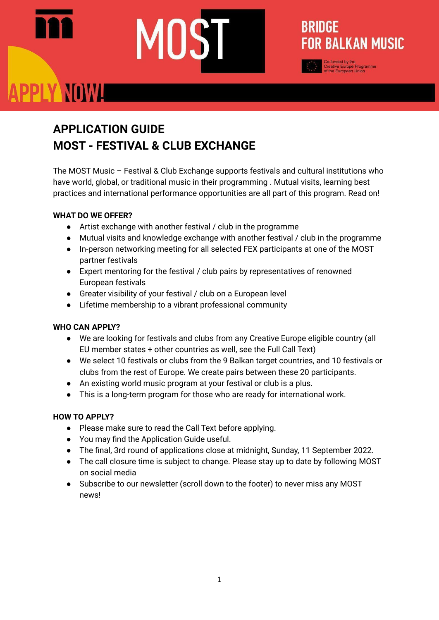### **APPLICATION GUIDE MOST - FESTIVAL & CLUB EXCHANGE**

The MOST Music – Festival & Club Exchange supports festivals and cultural institutions who have world, global, or traditional music in their programming . Mutual visits, learning best practices and international performance opportunities are all part of this program. Read on!

**BRIDGE** 

**FOR BALKAN MUSIC** 

### **WHAT DO WE OFFER?**

- Artist exchange with another festival / club in the programme
- Mutual visits and knowledge exchange with another festival / club in the programme
- In-person networking meeting for all selected FEX participants at one of the MOST partner festivals
- Expert mentoring for the festival / club pairs by representatives of renowned European festivals
- Greater visibility of your festival / club on a European level
- Lifetime membership to a vibrant professional community

### **WHO CAN APPLY?**

- We are looking for festivals and clubs from any Creative Europe eligible country (all EU member states + other countries as well, see the Full Call Text)
- We select 10 festivals or clubs from the 9 Balkan target countries, and 10 festivals or clubs from the rest of Europe. We create pairs between these 20 participants.
- An existing world music program at your festival or club is a plus.
- This is a long-term program for those who are ready for international work.

### **HOW TO APPLY?**

- Please make sure to read the Call Text before applying.
- You may find the Application Guide useful.
- The final, 3rd round of applications close at midnight, Sunday, 11 September 2022.
- The call closure time is subject to change. Please stay up to date by following MOST on social media
- Subscribe to our newsletter (scroll down to the footer) to never miss any MOST news!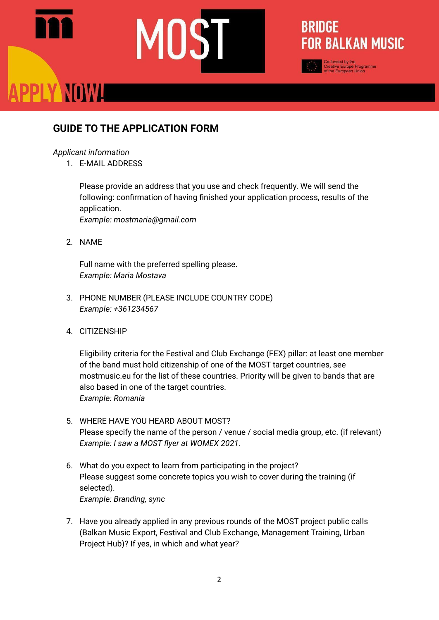### **BRIDGE FOR BALKAN MUSIC**

### **GUIDE TO THE APPLICATION FORM**

### *Applicant information*

1. E-MAIL ADDRESS

Please provide an address that you use and check frequently. We will send the following: confirmation of having finished your application process, results of the application. *Example: mostmaria@gmail.com*

2. NAME

Full name with the preferred spelling please. *Example: Maria Mostava*

- 3. PHONE NUMBER (PLEASE INCLUDE COUNTRY CODE) *Example: +361234567*
- 4. CITIZENSHIP

Eligibility criteria for the Festival and Club Exchange (FEX) pillar: at least one member of the band must hold citizenship of one of the MOST target countries, see mostmusic.eu for the list of these countries. Priority will be given to bands that are also based in one of the target countries. *Example: Romania*

- 5. WHERE HAVE YOU HEARD ABOUT MOST? Please specify the name of the person / venue / social media group, etc. (if relevant) *Example: I saw a MOST flyer at WOMEX 2021.*
- 6. What do you expect to learn from participating in the project? Please suggest some concrete topics you wish to cover during the training (if selected). *Example: Branding, sync*
- 7. Have you already applied in any previous rounds of the MOST project public calls (Balkan Music Export, Festival and Club Exchange, Management Training, Urban Project Hub)? If yes, in which and what year?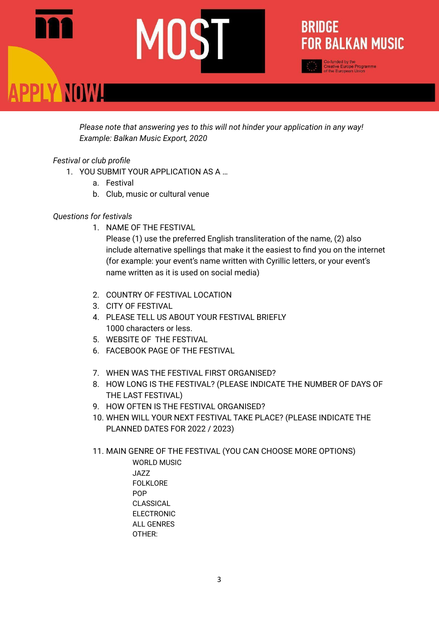**BRIDGE FOR BALKAN MUSIC** 

-funded by the<br>eative Europe Programme<br>the European Union

*Please note that answering yes to this will not hinder your application in any way! Example: Balkan Music Export, 2020*

### *Festival or club profile*

- 1. YOU SUBMIT YOUR APPLICATION AS A …
	- a. Festival
	- b. Club, music or cultural venue

### *Questions for festivals*

1. NAME OF THE FESTIVAL

Please (1) use the preferred English transliteration of the name, (2) also include alternative spellings that make it the easiest to find you on the internet (for example: your event's name written with Cyrillic letters, or your event's name written as it is used on social media)

- 2. COUNTRY OF FESTIVAL LOCATION
- 3. CITY OF FESTIVAL
- 4. PLEASE TELL US ABOUT YOUR FESTIVAL BRIEFLY 1000 characters or less.
- 5. WEBSITE OF THE FESTIVAL
- 6. FACEBOOK PAGE OF THE FESTIVAL
- 7. WHEN WAS THE FESTIVAL FIRST ORGANISED?
- 8. HOW LONG IS THE FESTIVAL? (PLEASE INDICATE THE NUMBER OF DAYS OF THE LAST FESTIVAL)
- 9. HOW OFTEN IS THE FESTIVAL ORGANISED?
- 10. WHEN WILL YOUR NEXT FESTIVAL TAKE PLACE? (PLEASE INDICATE THE PLANNED DATES FOR 2022 / 2023)
- 11. MAIN GENRE OF THE FESTIVAL (YOU CAN CHOOSE MORE OPTIONS)

WORLD MUSIC JAZZ FOLKLORE POP CLASSICAL ELECTRONIC ALL GENRES OTHER: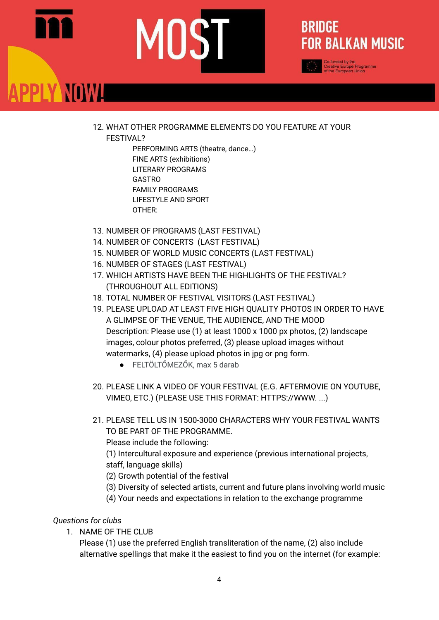### **BRIDGE FOR BALKAN MUSIC**

-funded by the<br>ative Europe Programme<br>he European Union

12. WHAT OTHER PROGRAMME ELEMENTS DO YOU FEATURE AT YOUR

FESTIVAL?

PERFORMING ARTS (theatre, dance…) FINE ARTS (exhibitions) LITERARY PROGRAMS GASTRO FAMILY PROGRAMS LIFESTYLE AND SPORT OTHER:

- 13. NUMBER OF PROGRAMS (LAST FESTIVAL)
- 14. NUMBER OF CONCERTS (LAST FESTIVAL)
- 15. NUMBER OF WORLD MUSIC CONCERTS (LAST FESTIVAL)
- 16. NUMBER OF STAGES (LAST FESTIVAL)
- 17. WHICH ARTISTS HAVE BEEN THE HIGHLIGHTS OF THE FESTIVAL? (THROUGHOUT ALL EDITIONS)
- 18. TOTAL NUMBER OF FESTIVAL VISITORS (LAST FESTIVAL)
- 19. PLEASE UPLOAD AT LEAST FIVE HIGH QUALITY PHOTOS IN ORDER TO HAVE A GLIMPSE OF THE VENUE, THE AUDIENCE, AND THE MOOD Description: Please use (1) at least 1000 x 1000 px photos, (2) landscape images, colour photos preferred, (3) please upload images without watermarks, (4) please upload photos in jpg or png form.
	- FELTÖLTŐMEZŐK, max 5 darab
- 20. PLEASE LINK A VIDEO OF YOUR FESTIVAL (E.G. AFTERMOVIE ON YOUTUBE, VIMEO, ETC.) (PLEASE USE THIS FORMAT: HTTPS://WWW. ...)
- 21. PLEASE TELL US IN 1500-3000 CHARACTERS WHY YOUR FESTIVAL WANTS TO BE PART OF THE PROGRAMME.

Please include the following:

(1) Intercultural exposure and experience (previous international projects, staff, language skills)

- (2) Growth potential of the festival
- (3) Diversity of selected artists, current and future plans involving world music
- (4) Your needs and expectations in relation to the exchange programme

### *Questions for clubs*

1. NAME OF THE CLUB

Please (1) use the preferred English transliteration of the name, (2) also include alternative spellings that make it the easiest to find you on the internet (for example: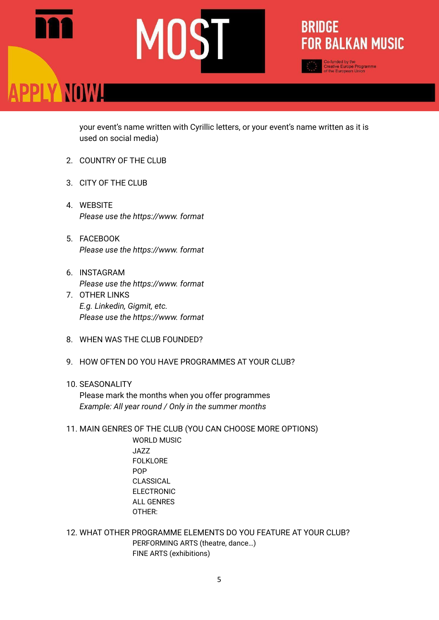your event's name written with Cyrillic letters, or your event's name written as it is used on social media)

**BRIDGE** 

**FOR BALKAN MUSIC** 

-funded by the<br>eative Europe Programme<br>the European Union

- 2. COUNTRY OF THE CLUB
- 3. CITY OF THE CLUB
- 4. WEBSITE *Please use the https://www. format*
- 5. FACEBOOK *Please use the https://www. format*
- 6. INSTAGRAM *Please use the https://www. format*
- 7. OTHER LINKS *E.g. Linkedin, Gigmit, etc. Please use the https://www. format*
- 8. WHEN WAS THE CLUB FOUNDED?
- 9. HOW OFTEN DO YOU HAVE PROGRAMMES AT YOUR CLUB?

### 10. SEASONALITY

Please mark the months when you offer programmes *Example: All year round / Only in the summer months*

11. MAIN GENRES OF THE CLUB (YOU CAN CHOOSE MORE OPTIONS)

WORLD MUSIC JAZZ FOLKLORE POP CLASSICAL ELECTRONIC ALL GENRES OTHER:

12. WHAT OTHER PROGRAMME ELEMENTS DO YOU FEATURE AT YOUR CLUB? PERFORMING ARTS (theatre, dance…) FINE ARTS (exhibitions)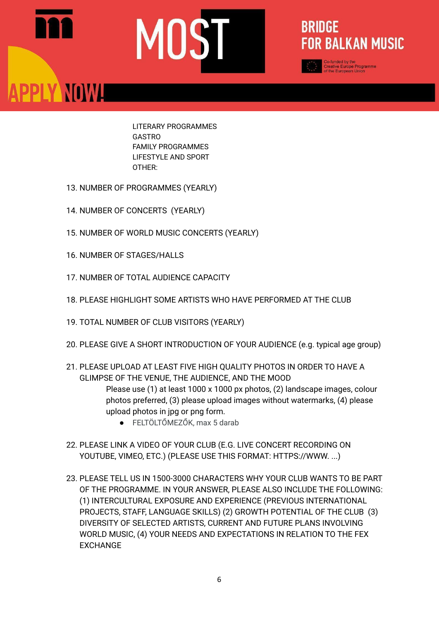### **BRIDGE FOR BALKAN MUSIC**

-funded by the<br>sative Europe Programme<br>the European Union

LITERARY PROGRAMMES **GASTRO** FAMILY PROGRAMMES LIFESTYLE AND SPORT OTHER:

- 13. NUMBER OF PROGRAMMES (YEARLY)
- 14. NUMBER OF CONCERTS (YEARLY)
- 15. NUMBER OF WORLD MUSIC CONCERTS (YEARLY)
- 16. NUMBER OF STAGES/HALLS

PPLY NOWL

- 17. NUMBER OF TOTAL AUDIENCE CAPACITY
- 18. PLEASE HIGHLIGHT SOME ARTISTS WHO HAVE PERFORMED AT THE CLUB
- 19. TOTAL NUMBER OF CLUB VISITORS (YEARLY)
- 20. PLEASE GIVE A SHORT INTRODUCTION OF YOUR AUDIENCE (e.g. typical age group)
- 21. PLEASE UPLOAD AT LEAST FIVE HIGH QUALITY PHOTOS IN ORDER TO HAVE A GLIMPSE OF THE VENUE, THE AUDIENCE, AND THE MOOD Please use (1) at least 1000 x 1000 px photos, (2) landscape images, colour photos preferred, (3) please upload images without watermarks, (4) please upload photos in jpg or png form.
	- FELTÖLTŐMEZŐK, max 5 darab
- 22. PLEASE LINK A VIDEO OF YOUR CLUB (E.G. LIVE CONCERT RECORDING ON YOUTUBE, VIMEO, ETC.) (PLEASE USE THIS FORMAT: HTTPS://WWW. ...)
- 23. PLEASE TELL US IN 1500-3000 CHARACTERS WHY YOUR CLUB WANTS TO BE PART OF THE PROGRAMME. IN YOUR ANSWER, PLEASE ALSO INCLUDE THE FOLLOWING: (1) INTERCULTURAL EXPOSURE AND EXPERIENCE (PREVIOUS INTERNATIONAL PROJECTS, STAFF, LANGUAGE SKILLS) (2) GROWTH POTENTIAL OF THE CLUB (3) DIVERSITY OF SELECTED ARTISTS, CURRENT AND FUTURE PLANS INVOLVING WORLD MUSIC, (4) YOUR NEEDS AND EXPECTATIONS IN RELATION TO THE FEX EXCHANGE